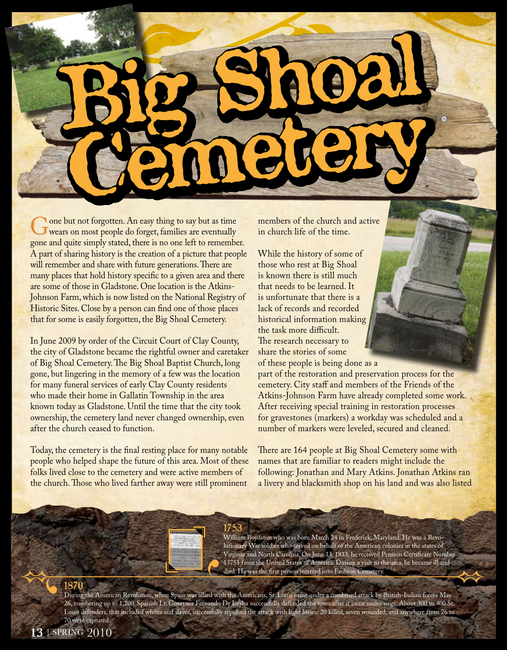Gone but not forgotten. An easy thing to say but as time<br>wears on most people do forget, families are eventually<br>gone and quite simply stated, there is no one left to remembe gone and quite simply stated, there is no one left to remember. A part of sharing history is the creation of a picture that people will remember and share with future generations. There are many places that hold history specific to a given area and there are some of those in Gladstone. One location is the Atkins-Johnson Farm, which is now listed on the National Registry of Historic Sites. Close by a person can find one of those places that for some is easily forgotten, the Big Shoal Cemetery.

In June 2009 by order of the Circuit Court of Clay County, the city of Gladstone became the rightful owner and caretaker of Big Shoal Cemetery. The Big Shoal Baptist Church, long gone, but lingering in the memory of a few was the location for many funeral services of early Clay County residents who made their home in Gallatin Township in the area known today as Gladstone. Until the time that the city took ownership, the cemetery land never changed ownership, even after the church ceased to function.

Today, the cemetery is the final resting place for many notable people who helped shape the future of this area. Most of these folks lived close to the cemetery and were active members of the church. Those who lived farther away were still prominent

members of the church and active in church life of the time.

While the history of some of those who rest at Big Shoal is known there is still much that needs to be learned. It is unfortunate that there is a lack of records and recorded historical information making the task more difficult. The research necessary to share the stories of some of these people is being done as a

part of the restoration and preservation process for the cemetery. City staff and members of the Friends of the Atkins-Johnson Farm have already completed some work. After receiving special training in restoration processes for gravestones (markers) a workday was scheduled and a number of markers were leveled, secured and cleaned.

There are 164 people at Big Shoal Cemetery some with names that are familiar to readers might include the following: Jonathan and Mary Atkins. Jonathan Atkins ran a livery and blacksmith shop on his land and was also listed

### 1753 William Boydston who was born March 24 in Frederick, Maryland. He was a Revolutionary War soldier who served on behalf of the American colonies in the states of Virginia and North Carolina. On June 13, 1833, he received Pension Certificate Number 13751 from the United States of America. During a visit to the area, he became ill and

died. He was the first person interred into Faubion Cemetery.

During the American Revolution, when Spain was allied with the Americans, St. Louis came under a combined attack by British-Indian forces May 26, numbering up to 1,200. Spanish Lt. Governor Fernando De Leyba successfully defended the town after it came under siege. About 300 to 400 St. Louis defenders, that included whites and slaves, successfully repulsed the attack with light losses: 20 killed, seven wounded, and anywhere from 26 to 70 were captured.

1870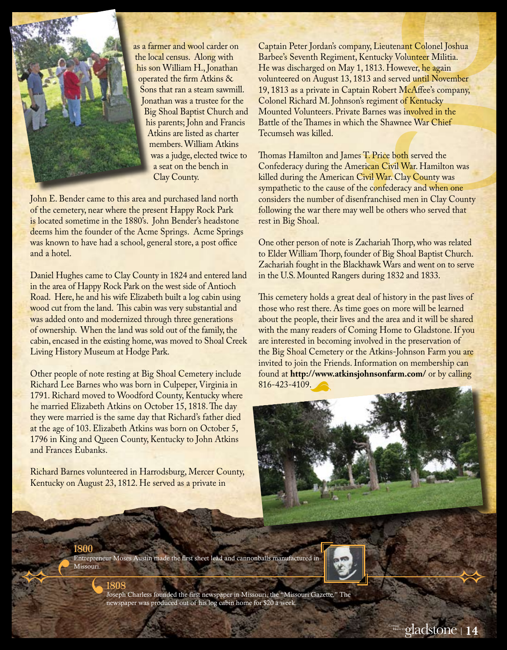

as a farmer and wool carder on the local census. Along with his son William H., Jonathan operated the firm Atkins & Sons that ran a steam sawmill. Jonathan was a trustee for the Big Shoal Baptist Church and his parents; John and Francis Atkins are listed as charter members. William Atkins was a judge, elected twice to a seat on the bench in Clay County.

John E. Bender came to this area and purchased land north of the cemetery, near where the present Happy Rock Park is located sometime in the 1880's. John Bender's headstone deems him the founder of the Acme Springs. Acme Springs was known to have had a school, general store, a post office and a hotel.

Daniel Hughes came to Clay County in 1824 and entered land in the area of Happy Rock Park on the west side of Antioch Road. Here, he and his wife Elizabeth built a log cabin using wood cut from the land. This cabin was very substantial and was added onto and modernized through three generations of ownership. When the land was sold out of the family, the cabin, encased in the existing home, was moved to Shoal Creek Living History Museum at Hodge Park.

Other people of note resting at Big Shoal Cemetery include Richard Lee Barnes who was born in Culpeper, Virginia in 1791. Richard moved to Woodford County, Kentucky where he married Elizabeth Atkins on October 15, 1818. The day they were married is the same day that Richard's father died at the age of 103. Elizabeth Atkins was born on October 5, 1796 in King and Queen County, Kentucky to John Atkins and Frances Eubanks.

Richard Barnes volunteered in Harrodsburg, Mercer County, Kentucky on August 23, 1812. He served as a private in

1808

Captain Peter Jordan's company, Lieutenant Colonel Joshua Barbee's Seventh Regiment, Kentucky Volunteer Militia. He was discharged on May 1, 1813. However, he again volunteered on August 13, 1813 and served until November 19, 1813 as a private in Captain Robert McAffee's company, Colonel Richard M. Johnson's regiment of Kentucky Mounted Volunteers. Private Barnes was involved in the Battle of the Thames in which the Shawnee War Chief Tecumseh was killed.

Thomas Hamilton and James T. Price both served the Confederacy during the American Civil War. Hamilton was killed during the American Civil War. Clay County was sympathetic to the cause of the confederacy and when one considers the number of disenfranchised men in Clay County following the war there may well be others who served that rest in Big Shoal.

One other person of note is Zachariah Thorp, who was related to Elder William Thorp, founder of Big Shoal Baptist Church. Zachariah fought in the Blackhawk Wars and went on to serve in the U.S. Mounted Rangers during 1832 and 1833.

This cemetery holds a great deal of history in the past lives of those who rest there. As time goes on more will be learned about the people, their lives and the area and it will be shared with the many readers of Coming Home to Gladstone. If you are interested in becoming involved in the preservation of the Big Shoal Cemetery or the Atkins-Johnson Farm you are invited to join the Friends. Information on membership can found at **http://www.atkinsjohnsonfarm.com/** or by calling 816-423-4109.



1800 Entrepreneur Moses Austin made the first sheet lead and cannonballs manufactured in Missouri.



Joseph Charless founded the first newspaper in Missouri, the "Missouri Gazette." The newspaper was produced out of his log cabin home for \$20 a week.

gladstone Coming

gladstone Com

gladstone Coming

progress through people

progress through people

Home to

Home to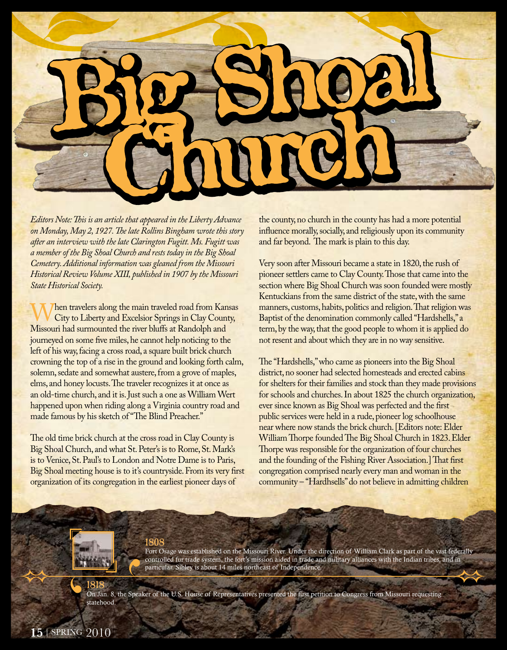

*Editors Note: This is an article that appeared in the Liberty Advance on Monday, May 2, 1927. The late Rollins Bingham wrote this story after an interview with the late Clarington Fugitt. Ms. Fugitt was a member of the Big Shoal Church and rests today in the Big Shoal Cemetery. Additional information was gleaned from the Missouri Historical Review Volume XIII, published in 1907 by the Missouri State Historical Society.*

When travelers along the main traveled road from Kansas<br>City to Liberty and Excelsior Springs in Clay County,<br>Missouri had surmounted the river bluffs at Randolph and Missouri had surmounted the river bluffs at Randolph and journeyed on some five miles, he cannot help noticing to the left of his way, facing a cross road, a square built brick church crowning the top of a rise in the ground and looking forth calm, solemn, sedate and somewhat austere, from a grove of maples, elms, and honey locusts. The traveler recognizes it at once as an old-time church, and it is. Just such a one as William Wert happened upon when riding along a Virginia country road and made famous by his sketch of "The Blind Preacher."

The old time brick church at the cross road in Clay County is Big Shoal Church, and what St. Peter's is to Rome, St. Mark's is to Venice, St. Paul's to London and Notre Dame is to Paris, Big Shoal meeting house is to it's countryside. From its very first organization of its congregation in the earliest pioneer days of

the county, no church in the county has had a more potential influence morally, socially, and religiously upon its community and far beyond. The mark is plain to this day.

Very soon after Missouri became a state in 1820, the rush of pioneer settlers came to Clay County. Those that came into the section where Big Shoal Church was soon founded were mostly Kentuckians from the same district of the state, with the same manners, customs, habits, politics and religion. That religion was Baptist of the denomination commonly called "Hardshells," a term, by the way, that the good people to whom it is applied do not resent and about which they are in no way sensitive.

The "Hardshells," who came as pioneers into the Big Shoal district, no sooner had selected homesteads and erected cabins for shelters for their families and stock than they made provisions for schools and churches. In about 1825 the church organization, ever since known as Big Shoal was perfected and the first public services were held in a rude, pioneer log schoolhouse near where now stands the brick church. [Editors note: Elder William Thorpe founded The Big Shoal Church in 1823. Elder Thorpe was responsible for the organization of four churches and the founding of the Fishing River Association.] That first congregation comprised nearly every man and woman in the community – "Hardhsells" do not believe in admitting children

## 1808

Fort Osage was established on the Missouri River. Under the direction of William Clark as part of the vast federally controlled fur trade system, the fort's mission aided in trade and military alliances with the Indian tribes, and in particular. Sibley is about 14 miles northeast of Independence.

1818 On Jan. 8, the Speaker of the U.S. House of Representatives presented the first petition to Congress from Missouri requesting statehood.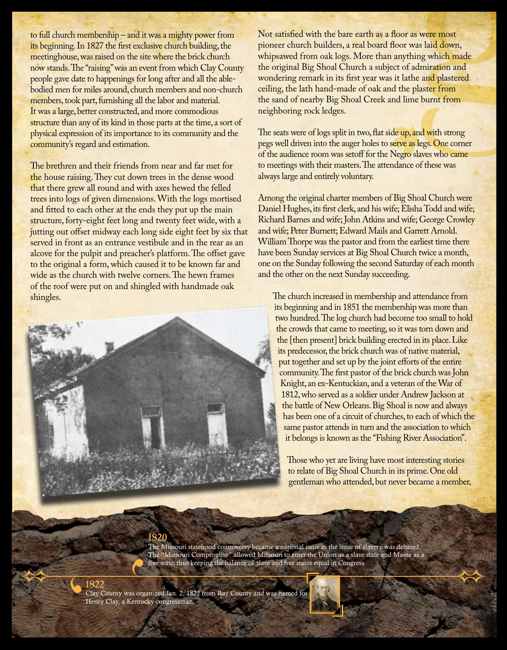to full church membership – and it was a mighty power from its beginning. In 1827 the first exclusive church building, the meetinghouse, was raised on the site where the brick church now stands. The "raising" was an event from which Clay County people gave date to happenings for long after and all the ablebodied men for miles around, church members and non-church members, took part, furnishing all the labor and material. It was a large, better constructed, and more commodious structure than any of its kind in those parts at the time, a sort of physical expression of its importance to its community and the community's regard and estimation.

The brethren and their friends from near and far met for the house raising. They cut down trees in the dense wood that there grew all round and with axes hewed the felled trees into logs of given dimensions. With the logs mortised and fitted to each other at the ends they put up the main structure, forty-eight feet long and twenty feet wide, with a jutting out offset midway each long side eight feet by six that served in front as an entrance vestibule and in the rear as an alcove for the pulpit and preacher's platform. The offset gave to the original a form, which caused it to be known far and wide as the church with twelve corners. The hewn frames of the roof were put on and shingled with handmade oak shingles.



Not satisfied with the bare earth as a floor as were most pioneer church builders, a real board floor was laid down, whipsawed from oak logs. More than anything which made the original Big Shoal Church a subject of admiration and wondering remark in its first year was it lathe and plastered ceiling, the lath hand-made of oak and the plaster from the sand of nearby Big Shoal Creek and lime burnt from neighboring rock ledges.

The seats were of logs split in two, flat side up, and with strong pegs well driven into the auger holes to serve as legs. One corner of the audience room was setoff for the Negro slaves who came to meetings with their masters. The attendance of these was always large and entirely voluntary.

Among the original charter members of Big Shoal Church were Daniel Hughes, its first clerk, and his wife; Elisha Todd and wife; Richard Barnes and wife; John Atkins and wife; George Crowley and wife; Peter Burnett; Edward Mails and Garrett Arnold. William Thorpe was the pastor and from the earliest time there have been Sunday services at Big Shoal Church twice a month, one on the Sunday following the second Saturday of each month and the other on the next Sunday succeeding.

The church increased in membership and attendance from its beginning and in 1851 the membership was more than two hundred. The log church had become too small to hold the crowds that came to meeting, so it was torn down and the [then present] brick building erected in its place. Like its predecessor, the brick church was of native material, put together and set up by the joint efforts of the entire community. The first pastor of the brick church was John Knight, an ex-Kentuckian, and a veteran of the War of 1812, who served as a soldier under Andrew Jackson at the battle of New Orleans. Big Shoal is now and always has been one of a circuit of churches, to each of which the same pastor attends in turn and the association to which it belongs is known as the "Fishing River Association".

Those who yet are living have most interesting stories to relate of Big Shoal Church in its prime. One old gentleman who attended, but never became a member,

# 1820

The Missouri statehood controversy became a national issue as the issue of slavery was debated. The "Missouri Compromise" allowed Missouri to enter the Union as a slave state and Maine as a free state, thus keeping the balance of slave and free states equal in Congress

1822 Clay County was organized Jan. 2, 1822 from Ray County and was named for Henry Clay, a Kentucky congressman.

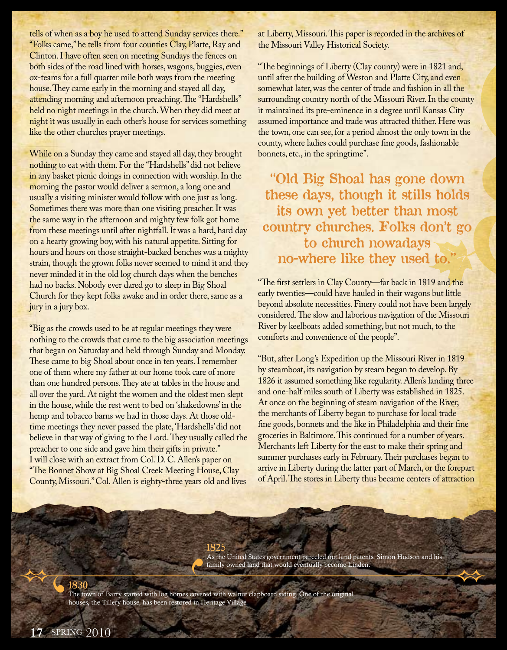tells of when as a boy he used to attend Sunday services there." "Folks came," he tells from four counties Clay, Platte, Ray and Clinton. I have often seen on meeting Sundays the fences on both sides of the road lined with horses, wagons, buggies, even ox-teams for a full quarter mile both ways from the meeting house. They came early in the morning and stayed all day, attending morning and afternoon preaching. The "Hardshells" held no night meetings in the church. When they did meet at night it was usually in each other's house for services something like the other churches prayer meetings.

While on a Sunday they came and stayed all day, they brought nothing to eat with them. For the "Hardshells" did not believe in any basket picnic doings in connection with worship. In the morning the pastor would deliver a sermon, a long one and usually a visiting minister would follow with one just as long. Sometimes there was more than one visiting preacher. It was the same way in the afternoon and mighty few folk got home from these meetings until after nightfall. It was a hard, hard day on a hearty growing boy, with his natural appetite. Sitting for hours and hours on those straight-backed benches was a mighty strain, though the grown folks never seemed to mind it and they never minded it in the old log church days when the benches had no backs. Nobody ever dared go to sleep in Big Shoal Church for they kept folks awake and in order there, same as a jury in a jury box.

"Big as the crowds used to be at regular meetings they were nothing to the crowds that came to the big association meetings that began on Saturday and held through Sunday and Monday. These came to big Shoal about once in ten years. I remember one of them where my father at our home took care of more than one hundred persons. They ate at tables in the house and all over the yard. At night the women and the oldest men slept in the house, while the rest went to bed on 'shakedowns' in the hemp and tobacco barns we had in those days. At those oldtime meetings they never passed the plate, 'Hardshells' did not believe in that way of giving to the Lord. They usually called the preacher to one side and gave him their gifts in private." I will close with an extract from Col. D. C. Allen's paper on "The Bonnet Show at Big Shoal Creek Meeting House, Clay County, Missouri." Col. Allen is eighty-three years old and lives

at Liberty, Missouri. This paper is recorded in the archives of the Missouri Valley Historical Society.

"The beginnings of Liberty (Clay county) were in 1821 and, until after the building of Weston and Platte City, and even somewhat later, was the center of trade and fashion in all the surrounding country north of the Missouri River. In the county it maintained its pre-eminence in a degree until Kansas City assumed importance and trade was attracted thither. Here was the town, one can see, for a period almost the only town in the county, where ladies could purchase fine goods, fashionable bonnets, etc., in the springtime".

"Old Big Shoal has gone down these days, though it stills holds its own yet better than most country churches. Folks don't go to church nowadays no-where like they used to."

"The first settlers in Clay County—far back in 1819 and the early twenties—could have hauled in their wagons but little beyond absolute necessities. Finery could not have been largely considered. The slow and laborious navigation of the Missouri River by keelboats added something, but not much, to the comforts and convenience of the people".

"But, after Long's Expedition up the Missouri River in 1819 by steamboat, its navigation by steam began to develop. By 1826 it assumed something like regularity. Allen's landing three and one-half miles south of Liberty was established in 1825. At once on the beginning of steam navigation of the River, the merchants of Liberty began to purchase for local trade fine goods, bonnets and the like in Philadelphia and their fine groceries in Baltimore. This continued for a number of years. Merchants left Liberty for the east to make their spring and summer purchases early in February. Their purchases began to arrive in Liberty during the latter part of March, or the forepart of April. The stores in Liberty thus became centers of attraction

1825 As the United States government parceled out land patents, Simon Hudson and his family owned land that would eventually become Linden.

1830 The town of Barry started with log homes covered with walnut clapboard siding. One of the original houses, the Tillery house, has been restored in Heritage Village.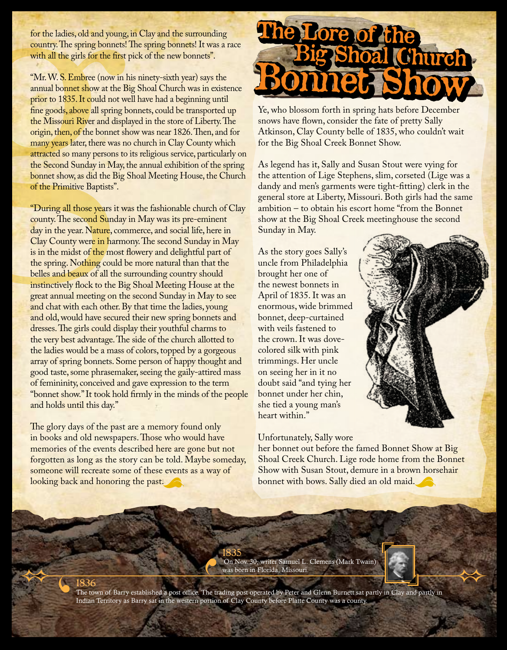for the ladies, old and young, in Clay and the surrounding country. The spring bonnets! The spring bonnets! It was a race with all the girls for the first pick of the new bonnets".

"Mr. W. S. Embree (now in his ninety-sixth year) says the annual bonnet show at the Big Shoal Church was in existence prior to 1835. It could not well have had a beginning until fine goods, above all spring bonnets, could be transported up the Missouri River and displayed in the store of Liberty. The origin, then, of the bonnet show was near 1826. Then, and for many years later, there was no church in Clay County which attracted so many persons to its religious service, particularly on the Second Sunday in May, the annual exhibition of the spring bonnet show, as did the Big Shoal Meeting House, the Church of the Primitive Baptists".

"During all those years it was the fashionable church of Clay county. The second Sunday in May was its pre-eminent day in the year. Nature, commerce, and social life, here in Clay County were in harmony. The second Sunday in May is in the midst of the most flowery and delightful part of the spring. Nothing could be more natural than that the belles and beaux of all the surrounding country should instinctively flock to the Big Shoal Meeting House at the great annual meeting on the second Sunday in May to see and chat with each other. By that time the ladies, young and old, would have secured their new spring bonnets and dresses. The girls could display their youthful charms to the very best advantage. The side of the church allotted to the ladies would be a mass of colors, topped by a gorgeous array of spring bonnets. Some person of happy thought and good taste, some phrasemaker, seeing the gaily-attired mass of femininity, conceived and gave expression to the term "bonnet show." It took hold firmly in the minds of the people and holds until this day."

The glory days of the past are a memory found only in books and old newspapers. Those who would have memories of the events described here are gone but not forgotten as long as the story can be told. Maybe someday, someone will recreate some of these events as a way of looking back and honoring the past.

# The Lore of the<br>Big Shoal Church Bonnet Show Bonnet Show

Ye, who blossom forth in spring hats before December snows have flown, consider the fate of pretty Sally Atkinson, Clay County belle of 1835, who couldn't wait for the Big Shoal Creek Bonnet Show.

As legend has it, Sally and Susan Stout were vying for the attention of Lige Stephens, slim, corseted (Lige was a dandy and men's garments were tight-fitting) clerk in the general store at Liberty, Missouri. Both girls had the same ambition – to obtain his escort home "from the Bonnet show at the Big Shoal Creek meetinghouse the second Sunday in May.

As the story goes Sally's uncle from Philadelphia brought her one of the newest bonnets in April of 1835. It was an enormous, wide brimmed bonnet, deep-curtained with veils fastened to the crown. It was dovecolored silk with pink trimmings. Her uncle on seeing her in it no doubt said "and tying her bonnet under her chin, she tied a young man's heart within."

Unfortunately, Sally wore

her bonnet out before the famed Bonnet Show at Big Shoal Creek Church. Lige rode home from the Bonnet Show with Susan Stout, demure in a brown horsehair bonnet with bows. Sally died an old maid.

1835 On Nov. 30, writer Samuel L. Clemens (Mark Twain) was born in Florida, Missouri.



1836<br>The town of Barry established a post office. The trading post operated by Peter and Glenn Burnett sat partly in Clay and partly in Indian Territory as Barry sat in the western portion of Clay County before Platte County was a county.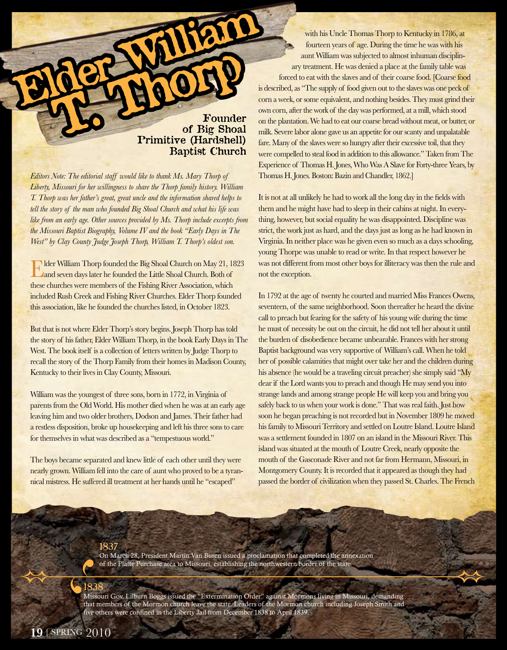## Founder of Big Shoal Primitive (Hardshell) Baptist Church

*Editors Note: The editorial staff would like to thank Ms. Mary Thorp of Liberty, Missouri for her willingness to share the Thorp family history. William T. Thorp was her father's great, great uncle and the information shared helps to tell the story of the man who founded Big Shoal Church and what his life was like from an early age. Other sources provided by Ms. Thorp include excerpts from the Missouri Baptist Biography, Volume IV and the book "Early Days in The West" by Clay County Judge Joseph Thorp, William T. Thorp's oldest son.*

Elder William Thorp founded the Big Shoal Church on May 21, 1823 and seven days later he founded the Little Shoal Church. Both of these churches were members of the Fishing River Association, which included Rush Creek and Fishing River Churches. Elder Thorp founded this association, like he founded the churches listed, in October 1823.

But that is not where Elder Thorp's story begins. Joseph Thorp has told the story of his father, Elder William Thorp, in the book Early Days in The West. The book itself is a collection of letters written by Judge Thorp to recall the story of the Thorp Family from their homes in Madison County, Kentucky to their lives in Clay County, Missouri.

William was the youngest of three sons, born in 1772, in Virginia of parents from the Old World. His mother died when he was at an early age leaving him and two older brothers, Dodson and James. Their father had a restless disposition, broke up housekeeping and left his three sons to care for themselves in what was described as a "tempestuous world."

The boys became separated and knew little of each other until they were nearly grown. William fell into the care of aunt who proved to be a tyrannical mistress. He suffered ill treatment at her hands until he "escaped"

with his Uncle Thomas Thorp to Kentucky in 1786, at fourteen years of age. During the time he was with his aunt William was subjected to almost inhuman disciplinary treatment. He was denied a place at the family table was forced to eat with the slaves and of their coarse food. [Coarse food is described, as "The supply of food given out to the slaves was one peck of corn a week, or some equivalent, and nothing besides. They must grind their own corn, after the work of the day was performed, at a mill, which stood on the plantation. We had to eat our coarse bread without meat, or butter, or milk. Severe labor alone gave us an appetite for our scanty and unpalatable fare. Many of the slaves were so hungry after their excessive toil, that they were compelled to steal food in addition to this allowance." Taken from The Experience of Thomas H. Jones, Who Was A Slave for Forty-three Years, by Thomas H. Jones. Boston: Bazin and Chandler, 1862.]

It is not at all unlikely he had to work all the long day in the fields with them and he might have had to sleep in their cabins at night. In everything, however, but social equality he was disappointed. Discipline was strict, the work just as hard, and the days just as long as he had known in Virginia. In neither place was he given even so much as a days schooling, young Thorpe was unable to read or write. In that respect however he was not different from most other boys for illiteracy was then the rule and not the exception.

In 1792 at the age of twenty he courted and married Miss Frances Owens, seventeen, of the same neighborhood. Soon thereafter he heard the divine call to preach but fearing for the safety of his young wife during the time he must of necessity be out on the circuit, he did not tell her about it until the burden of disobedience became unbearable. Frances with her strong Baptist background was very supportive of William's call. When he told her of possible calamities that might over take her and the children during his absence (he would be a traveling circuit preacher) she simply said "My dear if the Lord wants you to preach and though He may send you into strange lands and among strange people He will keep you and bring you safely back to us when your work is done." That was real faith. Just how soon he began preaching is not recorded but in November 1809 he moved his family to Missouri Territory and settled on Loutre Island. Loutre Island was a settlement founded in 1807 on an island in the Missouri River. This island was situated at the mouth of Loutre Creek, nearly opposite the mouth of the Gasconade River and not far from Hermann, Missouri, in Montgomery County. It is recorded that it appeared as though they had passed the border of civilization when they passed St. Charles. The French

On March 28, President Martin Van Buren issued a proclamation that completed the annexation of the Platte Purchase area to Missouri, establishing the northwestern border of the state.

1837

1838 Missouri Gov. Lilburn Boggs issued the "Extermination Order" against Mormons living in Missouri, demanding that members of the Mormon church leave the state. Leaders of the Mormon church including Joseph Smith and five others were confined in the Liberty Jail from December 1838 to April 1839.